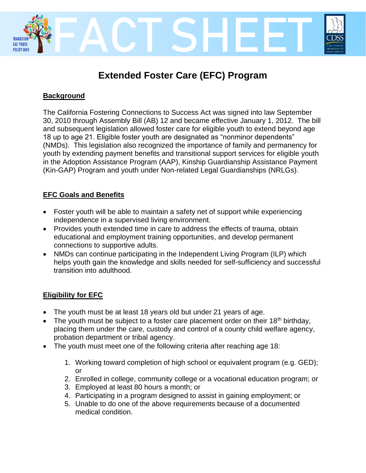

# **Extended Foster Care (EFC) Program**

# **Background**

The California Fostering Connections to Success Act was signed into law September 30, 2010 through Assembly Bill (AB) 12 and became effective January 1, 2012. The bill and subsequent legislation allowed foster care for eligible youth to extend beyond age 18 up to age 21. Eligible foster youth are designated as "nonminor dependents" (NMDs). This legislation also recognized the importance of family and permanency for youth by extending payment benefits and transitional support services for eligible youth in the Adoption Assistance Program (AAP), Kinship Guardianship Assistance Payment (Kin-GAP) Program and youth under Non-related Legal Guardianships (NRLGs).

## **EFC Goals and Benefits**

- Foster youth will be able to maintain a safety net of support while experiencing independence in a supervised living environment.
- Provides youth extended time in care to address the effects of trauma, obtain educational and employment training opportunities, and develop permanent connections to supportive adults.
- NMDs can continue participating in the Independent Living Program (ILP) which helps youth gain the knowledge and skills needed for self-sufficiency and successful transition into adulthood.

# **Eligibility for EFC**

- The youth must be at least 18 years old but under 21 years of age.
- The youth must be subject to a foster care placement order on their  $18<sup>th</sup>$  birthday, placing them under the care, custody and control of a county child welfare agency, probation department or tribal agency.
- The youth must meet one of the following criteria after reaching age 18:
	- 1. Working toward completion of high school or equivalent program (e.g. GED); or
	- 2. Enrolled in college, community college or a vocational education program; or
	- 3. Employed at least 80 hours a month; or
	- 4. Participating in a program designed to assist in gaining employment; or
	- 5. Unable to do one of the above requirements because of a documented medical condition.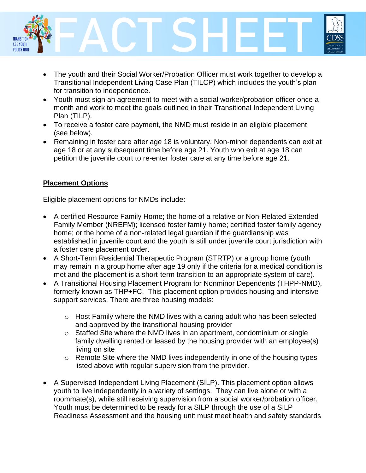

- The youth and their Social Worker/Probation Officer must work together to develop a Transitional Independent Living Case Plan (TILCP) which includes the youth's plan for transition to independence.
- Youth must sign an agreement to meet with a social worker/probation officer once a month and work to meet the goals outlined in their Transitional Independent Living Plan (TILP).
- To receive a foster care payment, the NMD must reside in an eligible placement (see below).
- Remaining in foster care after age 18 is voluntary. Non-minor dependents can exit at age 18 or at any subsequent time before age 21. Youth who exit at age 18 can petition the juvenile court to re-enter foster care at any time before age 21.

## **Placement Options**

Eligible placement options for NMDs include:

- A certified Resource Family Home; the home of a relative or Non-Related Extended Family Member (NREFM); licensed foster family home; certified foster family agency home; or the home of a non-related legal guardian if the guardianship was established in juvenile court and the youth is still under juvenile court jurisdiction with a foster care placement order.
- A Short-Term Residential Therapeutic Program (STRTP) or a group home (youth may remain in a group home after age 19 only if the criteria for a medical condition is met and the placement is a short-term transition to an appropriate system of care).
- A Transitional Housing Placement Program for Nonminor Dependents (THPP-NMD), formerly known as THP+FC. This placement option provides housing and intensive support services. There are three housing models:
	- $\circ$  Host Family where the NMD lives with a caring adult who has been selected and approved by the transitional housing provider
	- o Staffed Site where the NMD lives in an apartment, condominium or single family dwelling rented or leased by the housing provider with an employee(s) living on site
	- o Remote Site where the NMD lives independently in one of the housing types listed above with regular supervision from the provider.
- A Supervised Independent Living Placement (SILP). This placement option allows youth to live independently in a variety of settings. They can live alone or with a roommate(s), while still receiving supervision from a social worker/probation officer. Youth must be determined to be ready for a SILP through the use of a SILP Readiness Assessment and the housing unit must meet health and safety standards